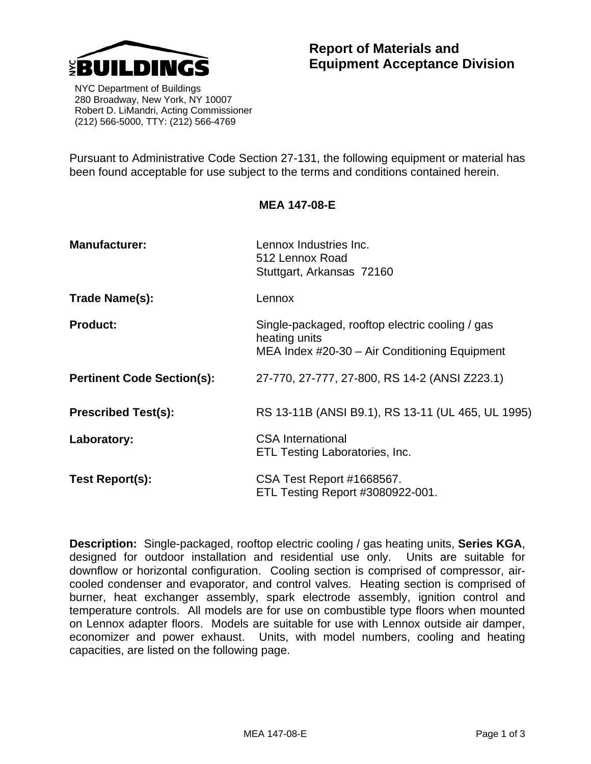

 NYC Department of Buildings 280 Broadway, New York, NY 10007 Robert D. LiMandri, Acting Commissioner (212) 566-5000, TTY: (212) 566-4769

Pursuant to Administrative Code Section 27-131, the following equipment or material has been found acceptable for use subject to the terms and conditions contained herein.

**MEA 147-08-E** 

## **Manufacturer: Lennox Industries Inc.** 512 Lennox Road Stuttgart, Arkansas 72160 **Trade Name(s):** Lennox **Product:** Single-packaged, rooftop electric cooling / gas heating units MEA Index #20-30 – Air Conditioning Equipment **Pertinent Code Section(s):** 27-770, 27-777, 27-800, RS 14-2 (ANSI Z223.1) **Prescribed Test(s):** RS 13-11B (ANSI B9.1), RS 13-11 (UL 465, UL 1995) **Laboratory:** CSA International ETL Testing Laboratories, Inc. **Test Report(s):** CSA Test Report #1668567. ETL Testing Report #3080922-001.

**Description:** Single-packaged, rooftop electric cooling / gas heating units, **Series KGA**, designed for outdoor installation and residential use only. Units are suitable for downflow or horizontal configuration. Cooling section is comprised of compressor, aircooled condenser and evaporator, and control valves. Heating section is comprised of burner, heat exchanger assembly, spark electrode assembly, ignition control and temperature controls. All models are for use on combustible type floors when mounted on Lennox adapter floors. Models are suitable for use with Lennox outside air damper, economizer and power exhaust. Units, with model numbers, cooling and heating capacities, are listed on the following page.